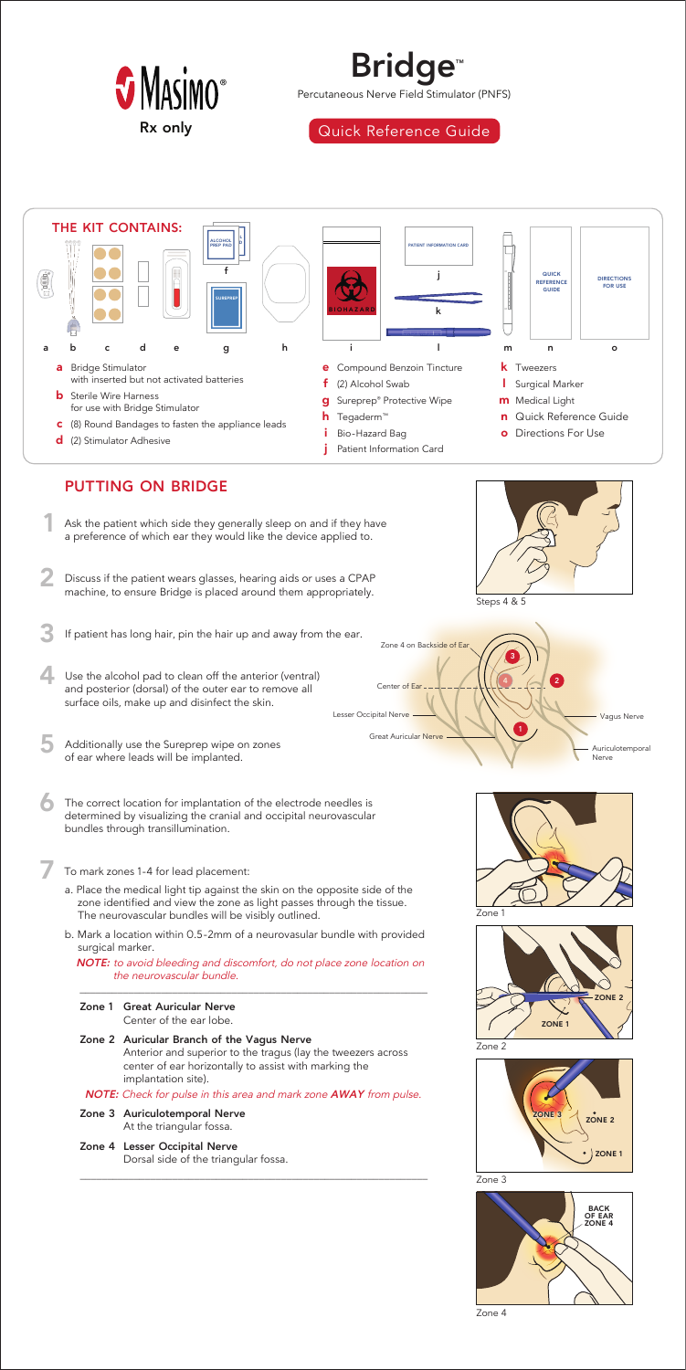- a. Place the medical light tip against the skin on the opposite side of the zone identified and view the zone as light passes through the tissue. The neurovascular bundles will be visibly outlined.
- b. Mark a location within 0.5-2mm of a neurovasular bundle with provided surgical marker.

*NOTE: to avoid bleeding and discomfort, do not place zone location on the neurovascular bundle.*

 $\overline{\phantom{a}}$  , and the contribution of the contribution of  $\overline{\phantom{a}}$  , and  $\overline{\phantom{a}}$  , and  $\overline{\phantom{a}}$  , and  $\overline{\phantom{a}}$  , and  $\overline{\phantom{a}}$  , and  $\overline{\phantom{a}}$  , and  $\overline{\phantom{a}}$  , and  $\overline{\phantom{a}}$  , and  $\overline{\phantom{a}}$  , and

**Zone 1 Great Auricular Nerve** 

Center of the ear lobe.



## **Zone 2 Auricular Branch of the Vagus Nerve**

 Anterior and superior to the tragus (lay the tweezers across center of ear horizontally to assist with marking the implantation site).

*NOTE: Check for pulse in this area and mark zone AWAY from pulse.*

- **Zone 3 Auriculotemporal Nerve** At the triangular fossa.
- **Zone 4 Lesser Occipital Nerve** Dorsal side of the triangular fossa.

\_\_\_\_\_\_\_\_\_\_\_\_\_\_\_\_\_\_\_\_\_\_\_\_\_\_\_\_\_\_\_\_\_\_\_\_\_\_\_\_\_\_\_\_\_\_\_\_\_\_\_\_\_\_\_\_\_\_\_\_\_\_\_\_

Percutaneous Nerve Field Stimulator (PNFS)

Rx only **Right** Quick Reference Guide





Zone 2









Zone 4